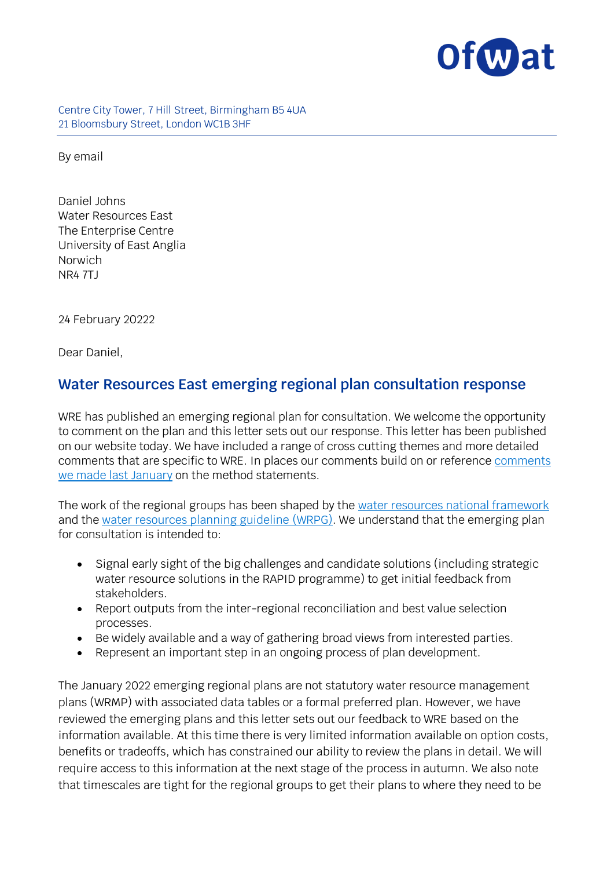

Centre City Tower, 7 Hill Street, Birmingham B5 4UA 21 Bloomsbury Street, London WC1B 3HF

By email

Daniel Johns Water Resources East The Enterprise Centre University of East Anglia Norwich NR4 7TJ

24 February 20222

Dear Daniel,

#### **Water Resources East emerging regional plan consultation response**

WRE has published an emerging regional plan for consultation. We welcome the opportunity to comment on the plan and this letter sets out our response. This letter has been published on our website today. We have included a range of cross cutting themes and more detailed comments that are specific to WRE. In places our comments build on or reference [comments](https://www.ofwat.gov.uk/publication/ofwat-letter-to-water-resources-east-method-statement-response/)  [we made last January](https://www.ofwat.gov.uk/publication/ofwat-letter-to-water-resources-east-method-statement-response/) on the method statements.

The work of the regional groups has been shaped by the [water resources national framework](https://www.gov.uk/government/publications/meeting-our-future-water-needs-a-national-framework-for-water-resources) and the [water resources planning guideline](https://www.gov.uk/government/publications/water-resources-planning-guideline/water-resources-planning-guideline) (WRPG). We understand that the emerging plan for consultation is intended to:

- Signal early sight of the big challenges and candidate solutions (including strategic water resource solutions in the RAPID programme) to get initial feedback from stakeholders.
- Report outputs from the inter-regional reconciliation and best value selection processes.
- Be widely available and a way of gathering broad views from interested parties.
- Represent an important step in an ongoing process of plan development.

The January 2022 emerging regional plans are not statutory water resource management plans (WRMP) with associated data tables or a formal preferred plan. However, we have reviewed the emerging plans and this letter sets out our feedback to WRE based on the information available. At this time there is very limited information available on option costs, benefits or tradeoffs, which has constrained our ability to review the plans in detail. We will require access to this information at the next stage of the process in autumn. We also note that timescales are tight for the regional groups to get their plans to where they need to be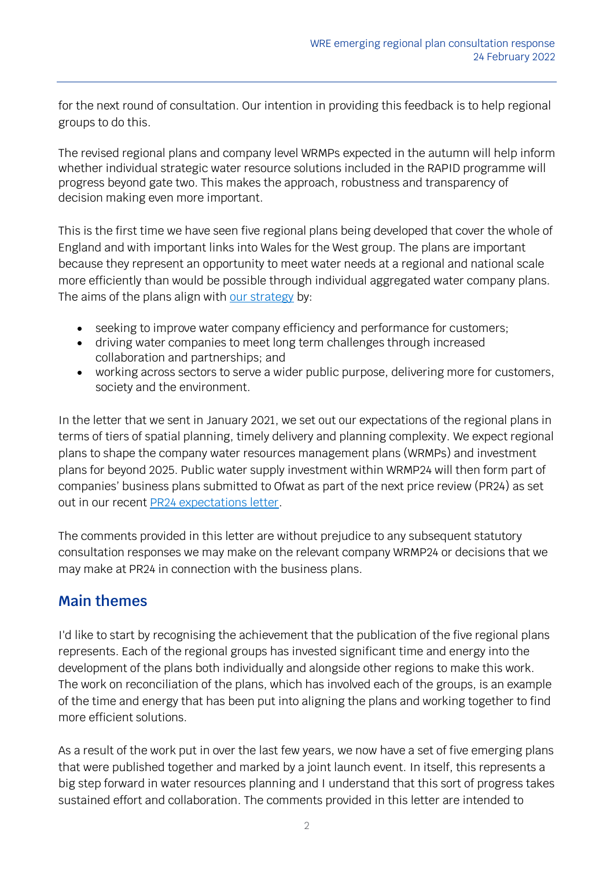for the next round of consultation. Our intention in providing this feedback is to help regional groups to do this.

The revised regional plans and company level WRMPs expected in the autumn will help inform whether individual strategic water resource solutions included in the RAPID programme will progress beyond gate two. This makes the approach, robustness and transparency of decision making even more important.

This is the first time we have seen five regional plans being developed that cover the whole of England and with important links into Wales for the West group. The plans are important because they represent an opportunity to meet water needs at a regional and national scale more efficiently than would be possible through individual aggregated water company plans. The aims of the plans align with [our strategy](https://www.ofwat.gov.uk/about-us/our-strategy/) by:

- seeking to improve water company efficiency and performance for customers;
- driving water companies to meet long term challenges through increased collaboration and partnerships; and
- working across sectors to serve a wider public purpose, delivering more for customers, society and the environment.

In the letter that we sent in January 2021, we set out our expectations of the regional plans in terms of tiers of spatial planning, timely delivery and planning complexity. We expect regional plans to shape the company water resources management plans (WRMPs) and investment plans for beyond 2025. Public water supply investment within WRMP24 will then form part of companies' business plans submitted to Ofwat as part of the next price review (PR24) as set out in our recent [PR24 expectations letter.](https://www.ofwat.gov.uk/publication/ofwats-expectations-for-strategic-planning-frameworks-at-pr24/)

The comments provided in this letter are without prejudice to any subsequent statutory consultation responses we may make on the relevant company WRMP24 or decisions that we may make at PR24 in connection with the business plans.

# **Main themes**

I'd like to start by recognising the achievement that the publication of the five regional plans represents. Each of the regional groups has invested significant time and energy into the development of the plans both individually and alongside other regions to make this work. The work on reconciliation of the plans, which has involved each of the groups, is an example of the time and energy that has been put into aligning the plans and working together to find more efficient solutions.

As a result of the work put in over the last few years, we now have a set of five emerging plans that were published together and marked by a joint launch event. In itself, this represents a big step forward in water resources planning and I understand that this sort of progress takes sustained effort and collaboration. The comments provided in this letter are intended to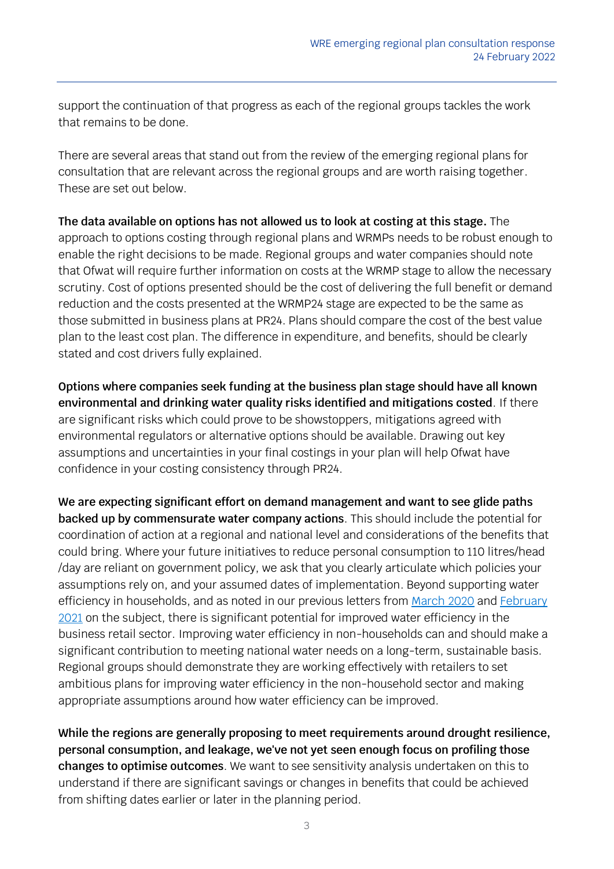support the continuation of that progress as each of the regional groups tackles the work that remains to be done.

There are several areas that stand out from the review of the emerging regional plans for consultation that are relevant across the regional groups and are worth raising together. These are set out below.

**The data available on options has not allowed us to look at costing at this stage.** The approach to options costing through regional plans and WRMPs needs to be robust enough to enable the right decisions to be made. Regional groups and water companies should note that Ofwat will require further information on costs at the WRMP stage to allow the necessary scrutiny. Cost of options presented should be the cost of delivering the full benefit or demand reduction and the costs presented at the WRMP24 stage are expected to be the same as those submitted in business plans at PR24. Plans should compare the cost of the best value plan to the least cost plan. The difference in expenditure, and benefits, should be clearly stated and cost drivers fully explained.

**Options where companies seek funding at the business plan stage should have all known environmental and drinking water quality risks identified and mitigations costed**. If there are significant risks which could prove to be showstoppers, mitigations agreed with environmental regulators or alternative options should be available. Drawing out key assumptions and uncertainties in your final costings in your plan will help Ofwat have confidence in your costing consistency through PR24.

**We are expecting significant effort on demand management and want to see glide paths backed up by commensurate water company actions**. This should include the potential for coordination of action at a regional and national level and considerations of the benefits that could bring. Where your future initiatives to reduce personal consumption to 110 litres/head /day are reliant on government policy, we ask that you clearly articulate which policies your assumptions rely on, and your assumed dates of implementation. Beyond supporting water efficiency in households, and as noted in our previous letters from [March](https://www.ofwat.gov.uk/wp-content/uploads/2020/03/20200317-ltr-CEOs-from-Rachel-Fletcher-and-Harvey-Bradshaw.pdf) 2020 and February [2021](https://www.ofwat.gov.uk/wp-content/uploads/2021/02/Joint-open-letter-from-Ofwat-and-the-Environment-Agency.pdf) on the subject, there is significant potential for improved water efficiency in the business retail sector. Improving water efficiency in non-households can and should make a significant contribution to meeting national water needs on a long-term, sustainable basis. Regional groups should demonstrate they are working effectively with retailers to set ambitious plans for improving water efficiency in the non-household sector and making appropriate assumptions around how water efficiency can be improved.

**While the regions are generally proposing to meet requirements around drought resilience, personal consumption, and leakage, we've not yet seen enough focus on profiling those changes to optimise outcomes**. We want to see sensitivity analysis undertaken on this to understand if there are significant savings or changes in benefits that could be achieved from shifting dates earlier or later in the planning period.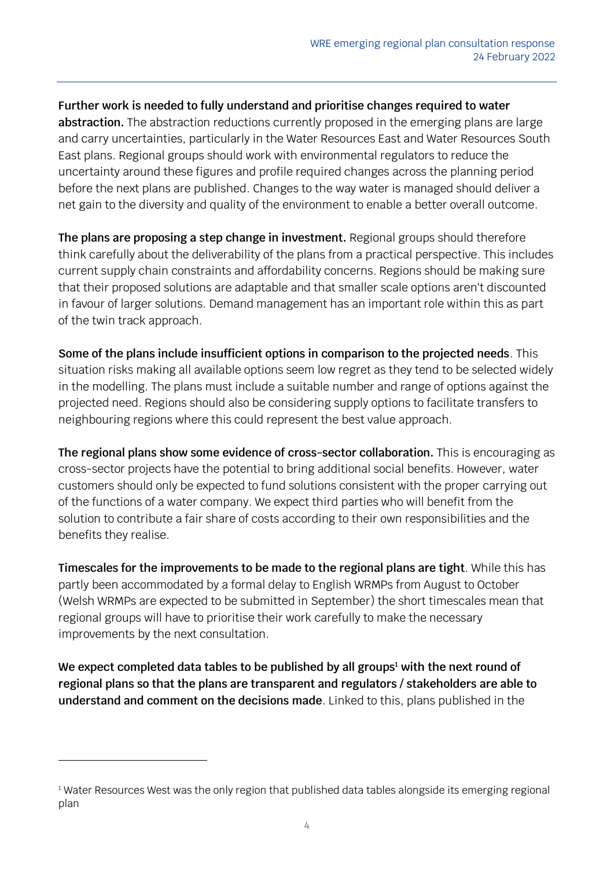**Further work is needed to fully understand and prioritise changes required to water abstraction.** The abstraction reductions currently proposed in the emerging plans are large and carry uncertainties, particularly in the Water Resources East and Water Resources South East plans. Regional groups should work with environmental regulators to reduce the uncertainty around these figures and profile required changes across the planning period before the next plans are published. Changes to the way water is managed should deliver a net gain to the diversity and quality of the environment to enable a better overall outcome.

**The plans are proposing a step change in investment.** Regional groups should therefore think carefully about the deliverability of the plans from a practical perspective. This includes current supply chain constraints and affordability concerns. Regions should be making sure that their proposed solutions are adaptable and that smaller scale options aren't discounted in favour of larger solutions. Demand management has an important role within this as part of the twin track approach.

**Some of the plans include insufficient options in comparison to the projected needs**. This situation risks making all available options seem low regret as they tend to be selected widely in the modelling. The plans must include a suitable number and range of options against the projected need. Regions should also be considering supply options to facilitate transfers to neighbouring regions where this could represent the best value approach.

**The regional plans show some evidence of cross-sector collaboration.** This is encouraging as cross-sector projects have the potential to bring additional social benefits. However, water customers should only be expected to fund solutions consistent with the proper carrying out of the functions of a water company. We expect third parties who will benefit from the solution to contribute a fair share of costs according to their own responsibilities and the benefits they realise.

**Timescales for the improvements to be made to the regional plans are tight**. While this has partly been accommodated by a formal delay to English WRMPs from August to October (Welsh WRMPs are expected to be submitted in September) the short timescales mean that regional groups will have to prioritise their work carefully to make the necessary improvements by the next consultation.

**We expect completed data tables to be published by all groups<sup>1</sup> with the next round of regional plans so that the plans are transparent and regulators / stakeholders are able to understand and comment on the decisions made**. Linked to this, plans published in the

 $1$  Water Resources West was the only region that published data tables alongside its emerging regional plan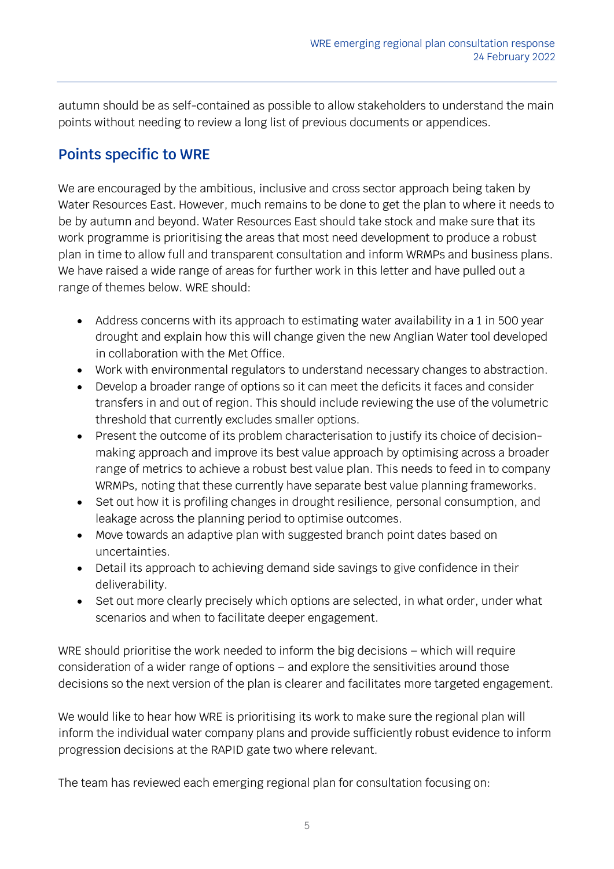autumn should be as self-contained as possible to allow stakeholders to understand the main points without needing to review a long list of previous documents or appendices.

# **Points specific to WRE**

We are encouraged by the ambitious, inclusive and cross sector approach being taken by Water Resources East. However, much remains to be done to get the plan to where it needs to be by autumn and beyond. Water Resources East should take stock and make sure that its work programme is prioritising the areas that most need development to produce a robust plan in time to allow full and transparent consultation and inform WRMPs and business plans. We have raised a wide range of areas for further work in this letter and have pulled out a range of themes below. WRE should:

- Address concerns with its approach to estimating water availability in a 1 in 500 year drought and explain how this will change given the new Anglian Water tool developed in collaboration with the Met Office.
- Work with environmental regulators to understand necessary changes to abstraction.
- Develop a broader range of options so it can meet the deficits it faces and consider transfers in and out of region. This should include reviewing the use of the volumetric threshold that currently excludes smaller options.
- Present the outcome of its problem characterisation to justify its choice of decisionmaking approach and improve its best value approach by optimising across a broader range of metrics to achieve a robust best value plan. This needs to feed in to company WRMPs, noting that these currently have separate best value planning frameworks.
- Set out how it is profiling changes in drought resilience, personal consumption, and leakage across the planning period to optimise outcomes.
- Move towards an adaptive plan with suggested branch point dates based on uncertainties.
- Detail its approach to achieving demand side savings to give confidence in their deliverability.
- Set out more clearly precisely which options are selected, in what order, under what scenarios and when to facilitate deeper engagement.

WRE should prioritise the work needed to inform the big decisions – which will require consideration of a wider range of options – and explore the sensitivities around those decisions so the next version of the plan is clearer and facilitates more targeted engagement.

We would like to hear how WRE is prioritising its work to make sure the regional plan will inform the individual water company plans and provide sufficiently robust evidence to inform progression decisions at the RAPID gate two where relevant.

The team has reviewed each emerging regional plan for consultation focusing on: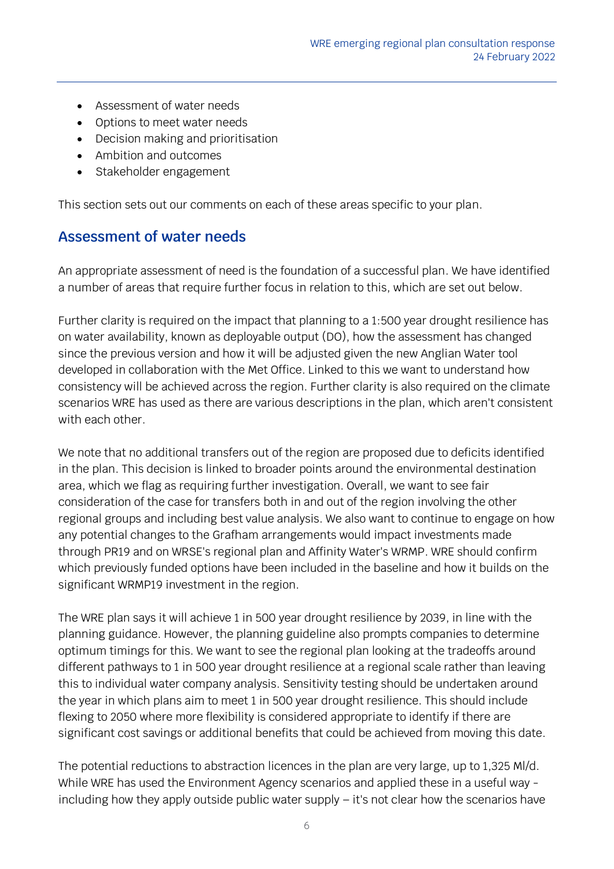- Assessment of water needs
- Options to meet water needs
- Decision making and prioritisation
- Ambition and outcomes
- Stakeholder engagement

This section sets out our comments on each of these areas specific to your plan.

#### **Assessment of water needs**

An appropriate assessment of need is the foundation of a successful plan. We have identified a number of areas that require further focus in relation to this, which are set out below.

Further clarity is required on the impact that planning to a 1:500 year drought resilience has on water availability, known as deployable output (DO), how the assessment has changed since the previous version and how it will be adjusted given the new Anglian Water tool developed in collaboration with the Met Office. Linked to this we want to understand how consistency will be achieved across the region. Further clarity is also required on the climate scenarios WRE has used as there are various descriptions in the plan, which aren't consistent with each other.

We note that no additional transfers out of the region are proposed due to deficits identified in the plan. This decision is linked to broader points around the environmental destination area, which we flag as requiring further investigation. Overall, we want to see fair consideration of the case for transfers both in and out of the region involving the other regional groups and including best value analysis. We also want to continue to engage on how any potential changes to the Grafham arrangements would impact investments made through PR19 and on WRSE's regional plan and Affinity Water's WRMP. WRE should confirm which previously funded options have been included in the baseline and how it builds on the significant WRMP19 investment in the region.

The WRE plan says it will achieve 1 in 500 year drought resilience by 2039, in line with the planning guidance. However, the planning guideline also prompts companies to determine optimum timings for this. We want to see the regional plan looking at the tradeoffs around different pathways to 1 in 500 year drought resilience at a regional scale rather than leaving this to individual water company analysis. Sensitivity testing should be undertaken around the year in which plans aim to meet 1 in 500 year drought resilience. This should include flexing to 2050 where more flexibility is considered appropriate to identify if there are significant cost savings or additional benefits that could be achieved from moving this date.

The potential reductions to abstraction licences in the plan are very large, up to 1,325 Ml/d. While WRE has used the Environment Agency scenarios and applied these in a useful way including how they apply outside public water supply – it's not clear how the scenarios have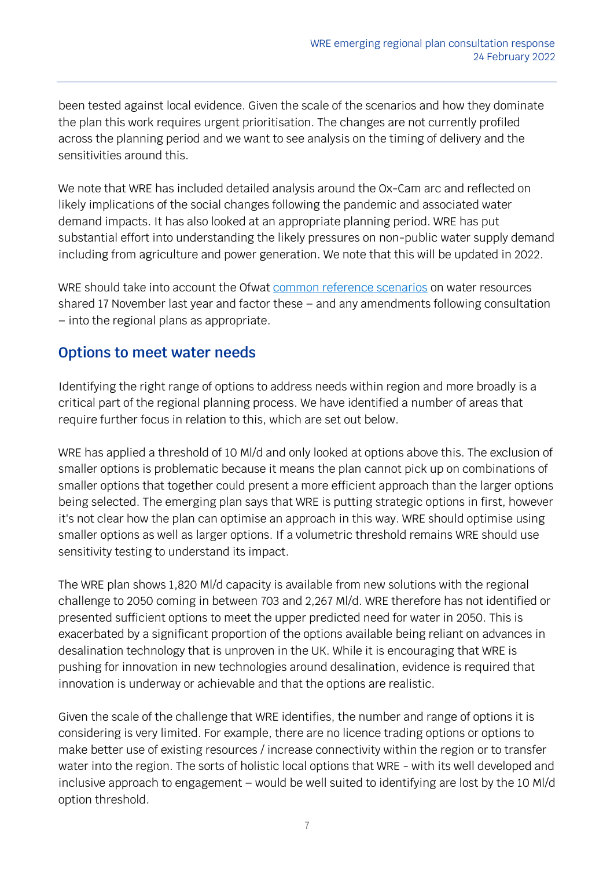been tested against local evidence. Given the scale of the scenarios and how they dominate the plan this work requires urgent prioritisation. The changes are not currently profiled across the planning period and we want to see analysis on the timing of delivery and the sensitivities around this.

We note that WRE has included detailed analysis around the Ox-Cam arc and reflected on likely implications of the social changes following the pandemic and associated water demand impacts. It has also looked at an appropriate planning period. WRE has put substantial effort into understanding the likely pressures on non-public water supply demand including from agriculture and power generation. We note that this will be updated in 2022.

WRE should take into account the Ofwat [common reference scenarios](https://www.ofwat.gov.uk/publication/pr24-and-beyond-long-term-delivery-strategies-and-common-reference-scenarios/) on water resources shared 17 November last year and factor these – and any amendments following consultation – into the regional plans as appropriate.

#### **Options to meet water needs**

Identifying the right range of options to address needs within region and more broadly is a critical part of the regional planning process. We have identified a number of areas that require further focus in relation to this, which are set out below.

WRE has applied a threshold of 10 Ml/d and only looked at options above this. The exclusion of smaller options is problematic because it means the plan cannot pick up on combinations of smaller options that together could present a more efficient approach than the larger options being selected. The emerging plan says that WRE is putting strategic options in first, however it's not clear how the plan can optimise an approach in this way. WRE should optimise using smaller options as well as larger options. If a volumetric threshold remains WRE should use sensitivity testing to understand its impact.

The WRE plan shows 1,820 Ml/d capacity is available from new solutions with the regional challenge to 2050 coming in between 703 and 2,267 Ml/d. WRE therefore has not identified or presented sufficient options to meet the upper predicted need for water in 2050. This is exacerbated by a significant proportion of the options available being reliant on advances in desalination technology that is unproven in the UK. While it is encouraging that WRE is pushing for innovation in new technologies around desalination, evidence is required that innovation is underway or achievable and that the options are realistic.

Given the scale of the challenge that WRE identifies, the number and range of options it is considering is very limited. For example, there are no licence trading options or options to make better use of existing resources / increase connectivity within the region or to transfer water into the region. The sorts of holistic local options that WRE - with its well developed and inclusive approach to engagement – would be well suited to identifying are lost by the 10 Ml/d option threshold.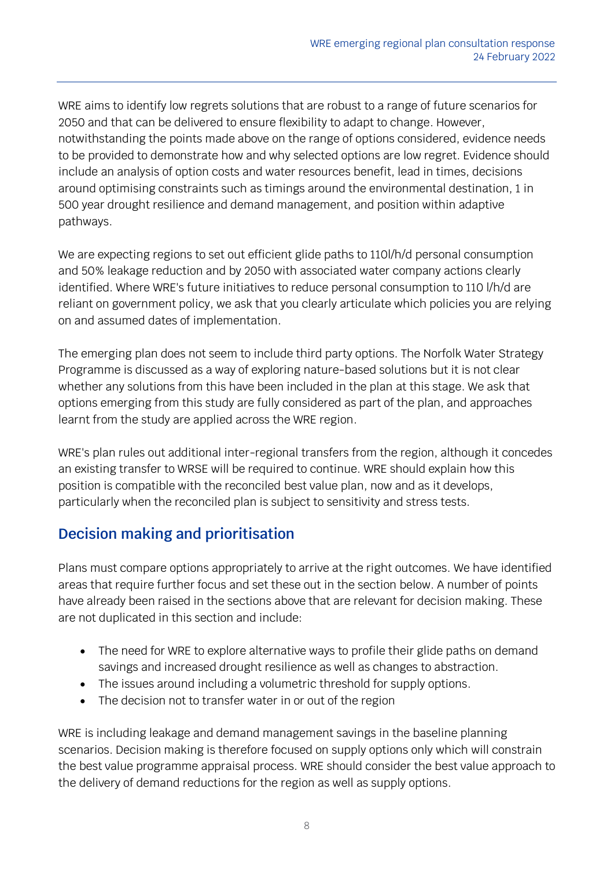WRE aims to identify low regrets solutions that are robust to a range of future scenarios for 2050 and that can be delivered to ensure flexibility to adapt to change. However, notwithstanding the points made above on the range of options considered, evidence needs to be provided to demonstrate how and why selected options are low regret. Evidence should include an analysis of option costs and water resources benefit, lead in times, decisions around optimising constraints such as timings around the environmental destination, 1 in 500 year drought resilience and demand management, and position within adaptive pathways.

We are expecting regions to set out efficient glide paths to 110l/h/d personal consumption and 50% leakage reduction and by 2050 with associated water company actions clearly identified. Where WRE's future initiatives to reduce personal consumption to 110 l/h/d are reliant on government policy, we ask that you clearly articulate which policies you are relying on and assumed dates of implementation.

The emerging plan does not seem to include third party options. The Norfolk Water Strategy Programme is discussed as a way of exploring nature-based solutions but it is not clear whether any solutions from this have been included in the plan at this stage. We ask that options emerging from this study are fully considered as part of the plan, and approaches learnt from the study are applied across the WRE region.

WRE's plan rules out additional inter-regional transfers from the region, although it concedes an existing transfer to WRSE will be required to continue. WRE should explain how this position is compatible with the reconciled best value plan, now and as it develops, particularly when the reconciled plan is subject to sensitivity and stress tests.

# **Decision making and prioritisation**

Plans must compare options appropriately to arrive at the right outcomes. We have identified areas that require further focus and set these out in the section below. A number of points have already been raised in the sections above that are relevant for decision making. These are not duplicated in this section and include:

- The need for WRE to explore alternative ways to profile their glide paths on demand savings and increased drought resilience as well as changes to abstraction.
- The issues around including a volumetric threshold for supply options.
- The decision not to transfer water in or out of the region

WRE is including leakage and demand management savings in the baseline planning scenarios. Decision making is therefore focused on supply options only which will constrain the best value programme appraisal process. WRE should consider the best value approach to the delivery of demand reductions for the region as well as supply options.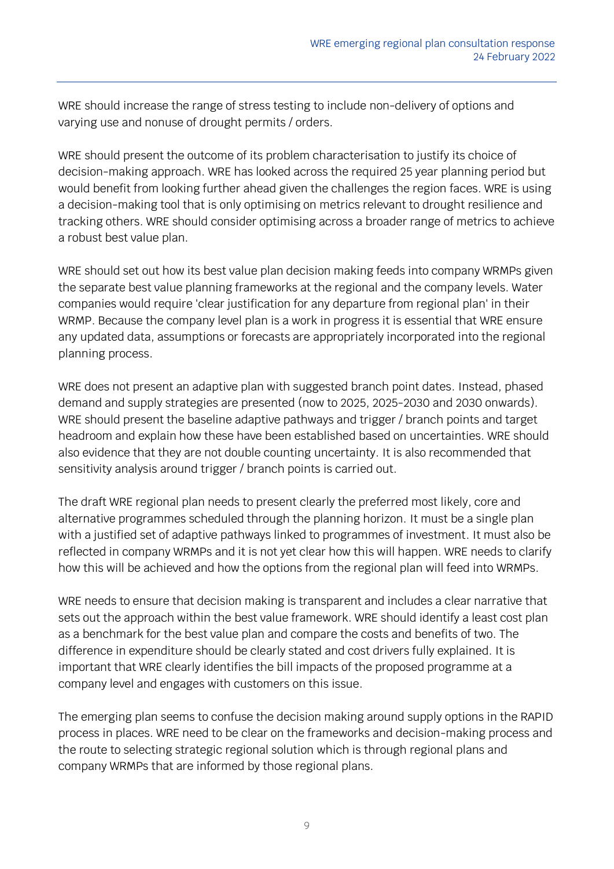WRE should increase the range of stress testing to include non-delivery of options and varying use and nonuse of drought permits / orders.

WRE should present the outcome of its problem characterisation to justify its choice of decision-making approach. WRE has looked across the required 25 year planning period but would benefit from looking further ahead given the challenges the region faces. WRE is using a decision-making tool that is only optimising on metrics relevant to drought resilience and tracking others. WRE should consider optimising across a broader range of metrics to achieve a robust best value plan.

WRE should set out how its best value plan decision making feeds into company WRMPs given the separate best value planning frameworks at the regional and the company levels. Water companies would require 'clear justification for any departure from regional plan' in their WRMP. Because the company level plan is a work in progress it is essential that WRE ensure any updated data, assumptions or forecasts are appropriately incorporated into the regional planning process.

WRE does not present an adaptive plan with suggested branch point dates. Instead, phased demand and supply strategies are presented (now to 2025, 2025-2030 and 2030 onwards). WRE should present the baseline adaptive pathways and trigger / branch points and target headroom and explain how these have been established based on uncertainties. WRE should also evidence that they are not double counting uncertainty. It is also recommended that sensitivity analysis around trigger / branch points is carried out.

The draft WRE regional plan needs to present clearly the preferred most likely, core and alternative programmes scheduled through the planning horizon. It must be a single plan with a justified set of adaptive pathways linked to programmes of investment. It must also be reflected in company WRMPs and it is not yet clear how this will happen. WRE needs to clarify how this will be achieved and how the options from the regional plan will feed into WRMPs.

WRE needs to ensure that decision making is transparent and includes a clear narrative that sets out the approach within the best value framework. WRE should identify a least cost plan as a benchmark for the best value plan and compare the costs and benefits of two. The difference in expenditure should be clearly stated and cost drivers fully explained. It is important that WRE clearly identifies the bill impacts of the proposed programme at a company level and engages with customers on this issue.

The emerging plan seems to confuse the decision making around supply options in the RAPID process in places. WRE need to be clear on the frameworks and decision-making process and the route to selecting strategic regional solution which is through regional plans and company WRMPs that are informed by those regional plans.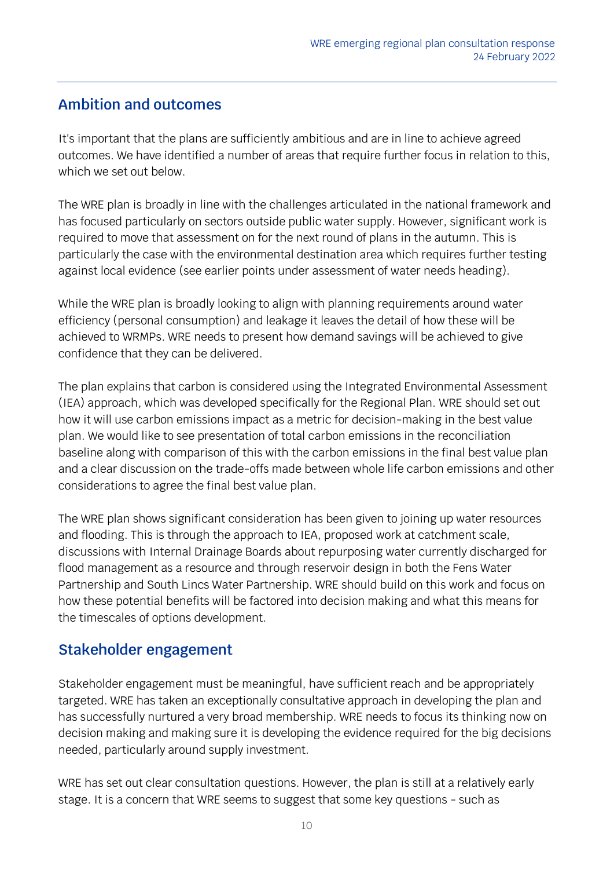### **Ambition and outcomes**

It's important that the plans are sufficiently ambitious and are in line to achieve agreed outcomes. We have identified a number of areas that require further focus in relation to this, which we set out below.

The WRE plan is broadly in line with the challenges articulated in the national framework and has focused particularly on sectors outside public water supply. However, significant work is required to move that assessment on for the next round of plans in the autumn. This is particularly the case with the environmental destination area which requires further testing against local evidence (see earlier points under assessment of water needs heading).

While the WRE plan is broadly looking to align with planning requirements around water efficiency (personal consumption) and leakage it leaves the detail of how these will be achieved to WRMPs. WRE needs to present how demand savings will be achieved to give confidence that they can be delivered.

The plan explains that carbon is considered using the Integrated Environmental Assessment (IEA) approach, which was developed specifically for the Regional Plan. WRE should set out how it will use carbon emissions impact as a metric for decision-making in the best value plan. We would like to see presentation of total carbon emissions in the reconciliation baseline along with comparison of this with the carbon emissions in the final best value plan and a clear discussion on the trade-offs made between whole life carbon emissions and other considerations to agree the final best value plan.

The WRE plan shows significant consideration has been given to joining up water resources and flooding. This is through the approach to IEA, proposed work at catchment scale, discussions with Internal Drainage Boards about repurposing water currently discharged for flood management as a resource and through reservoir design in both the Fens Water Partnership and South Lincs Water Partnership. WRE should build on this work and focus on how these potential benefits will be factored into decision making and what this means for the timescales of options development.

#### **Stakeholder engagement**

Stakeholder engagement must be meaningful, have sufficient reach and be appropriately targeted. WRE has taken an exceptionally consultative approach in developing the plan and has successfully nurtured a very broad membership. WRE needs to focus its thinking now on decision making and making sure it is developing the evidence required for the big decisions needed, particularly around supply investment.

WRE has set out clear consultation questions. However, the plan is still at a relatively early stage. It is a concern that WRE seems to suggest that some key questions - such as